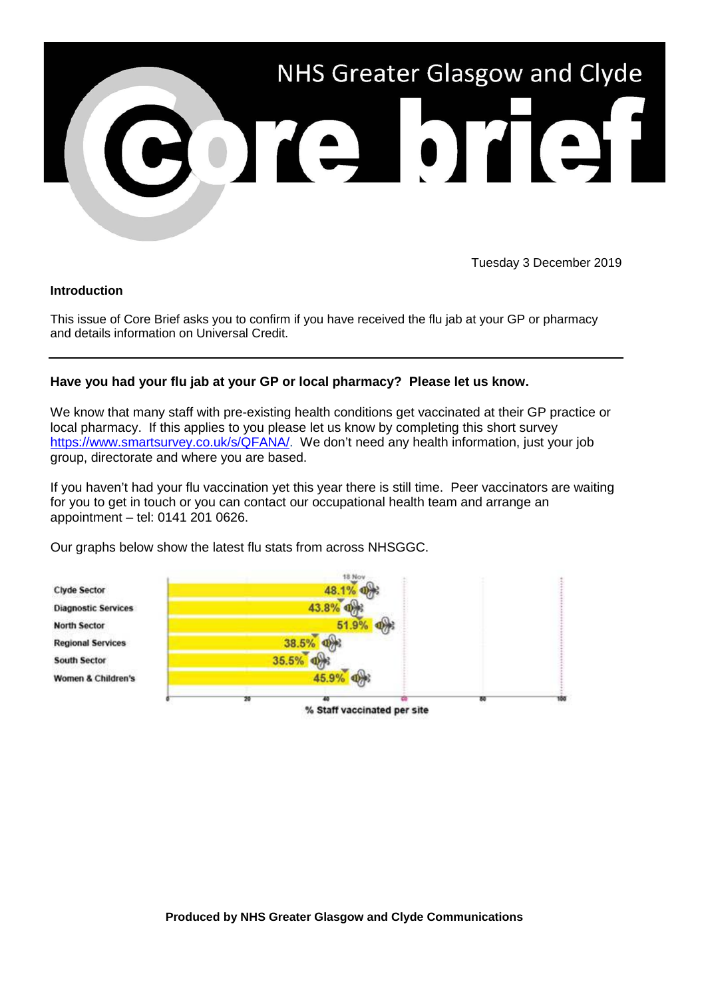

Tuesday 3 December 2019

## **Introduction**

This issue of Core Brief asks you to confirm if you have received the flu jab at your GP or pharmacy and details information on Universal Credit.

## **Have you had your flu jab at your GP or local pharmacy? Please let us know.**

We know that many staff with pre-existing health conditions get vaccinated at their GP practice or local pharmacy. If this applies to you please let us know by completing this short survey [https://www.smartsurvey.co.uk/s/QFANA/.](https://www.smartsurvey.co.uk/s/QFANA/) We don't need any health information, just your job group, directorate and where you are based.

If you haven't had your flu vaccination yet this year there is still time. Peer vaccinators are waiting for you to get in touch or you can contact our occupational health team and arrange an appointment – tel: 0141 201 0626.

Our graphs below show the latest flu stats from across NHSGGC.